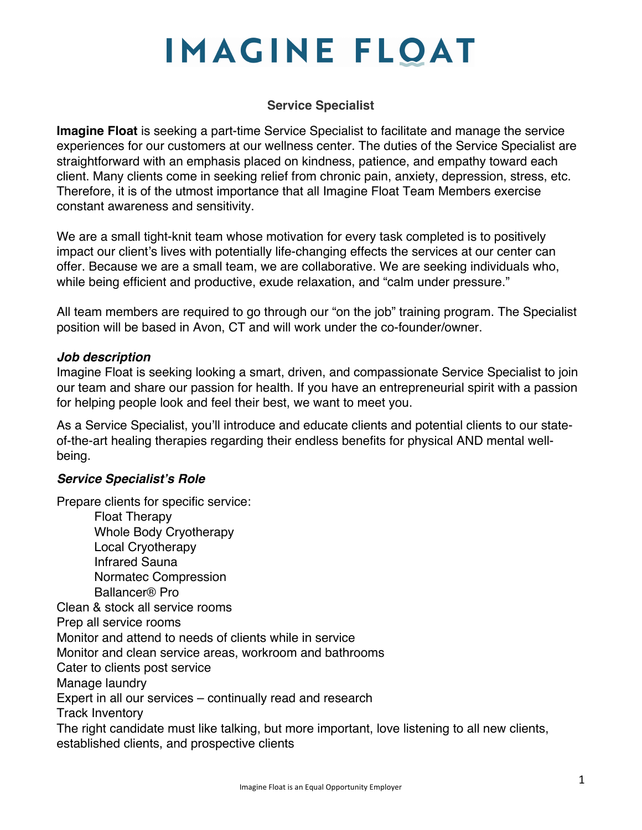# **IMAGINE FLOAT**

#### **Service Specialist**

**Imagine Float** is seeking a part-time Service Specialist to facilitate and manage the service experiences for our customers at our wellness center. The duties of the Service Specialist are straightforward with an emphasis placed on kindness, patience, and empathy toward each client. Many clients come in seeking relief from chronic pain, anxiety, depression, stress, etc. Therefore, it is of the utmost importance that all Imagine Float Team Members exercise constant awareness and sensitivity.

We are a small tight-knit team whose motivation for every task completed is to positively impact our client's lives with potentially life-changing effects the services at our center can offer. Because we are a small team, we are collaborative. We are seeking individuals who, while being efficient and productive, exude relaxation, and "calm under pressure."

All team members are required to go through our "on the job" training program. The Specialist position will be based in Avon, CT and will work under the co-founder/owner.

#### *Job description*

Imagine Float is seeking looking a smart, driven, and compassionate Service Specialist to join our team and share our passion for health. If you have an entrepreneurial spirit with a passion for helping people look and feel their best, we want to meet you.

As a Service Specialist, you'll introduce and educate clients and potential clients to our stateof-the-art healing therapies regarding their endless benefits for physical AND mental wellbeing.

#### *Service Specialist's Role*

Prepare clients for specific service: Float Therapy Whole Body Cryotherapy Local Cryotherapy Infrared Sauna Normatec Compression Ballancer® Pro Clean & stock all service rooms Prep all service rooms Monitor and attend to needs of clients while in service Monitor and clean service areas, workroom and bathrooms Cater to clients post service Manage laundry Expert in all our services – continually read and research Track Inventory The right candidate must like talking, but more important, love listening to all new clients, established clients, and prospective clients